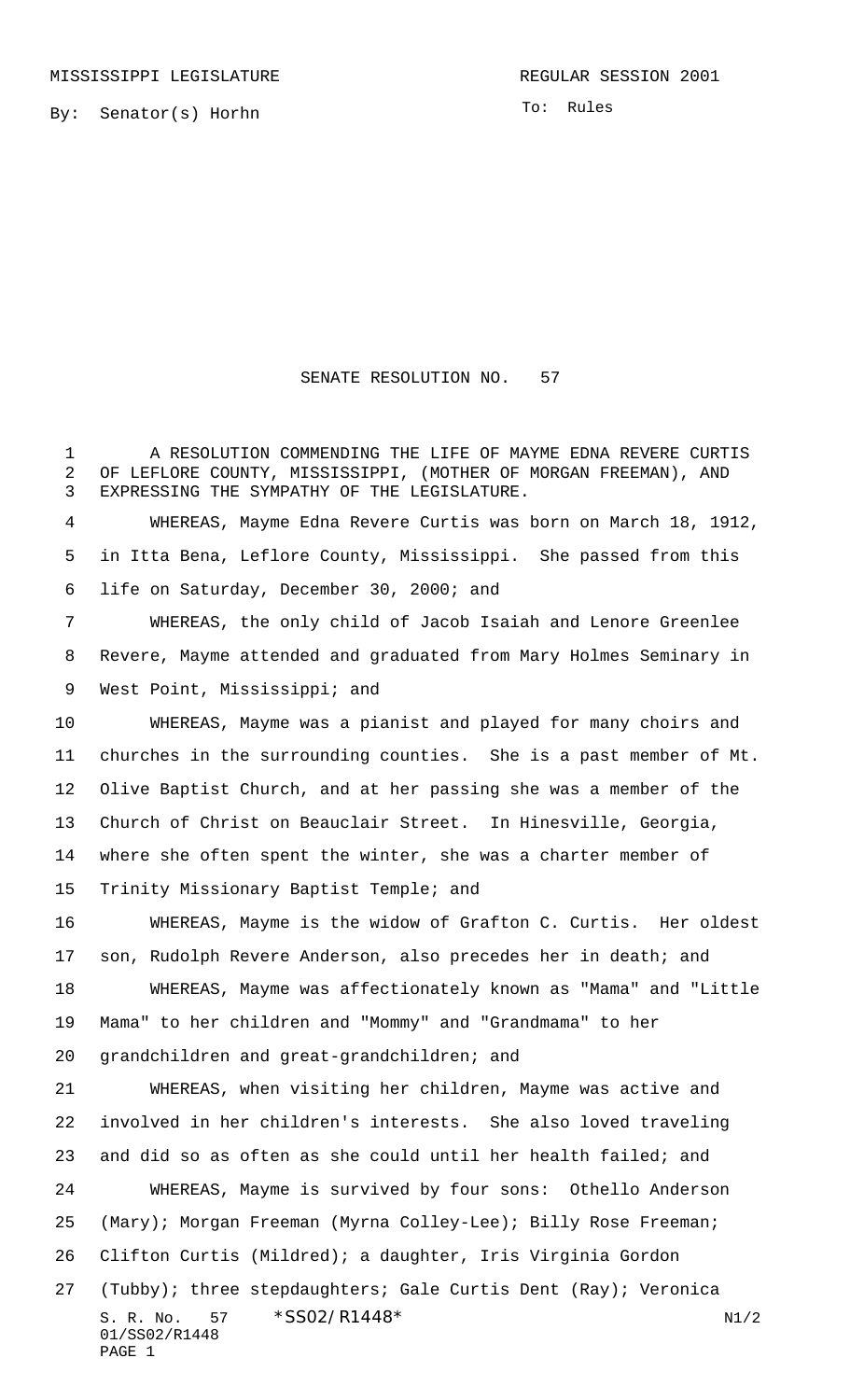By: Senator(s) Horhn

To: Rules

## SENATE RESOLUTION NO. 57

1 A RESOLUTION COMMENDING THE LIFE OF MAYME EDNA REVERE CURTIS OF LEFLORE COUNTY, MISSISSIPPI, (MOTHER OF MORGAN FREEMAN), AND EXPRESSING THE SYMPATHY OF THE LEGISLATURE.

 WHEREAS, Mayme Edna Revere Curtis was born on March 18, 1912, in Itta Bena, Leflore County, Mississippi. She passed from this life on Saturday, December 30, 2000; and

 WHEREAS, the only child of Jacob Isaiah and Lenore Greenlee Revere, Mayme attended and graduated from Mary Holmes Seminary in 9 West Point, Mississippi; and

 WHEREAS, Mayme was a pianist and played for many choirs and churches in the surrounding counties. She is a past member of Mt. Olive Baptist Church, and at her passing she was a member of the Church of Christ on Beauclair Street. In Hinesville, Georgia, where she often spent the winter, she was a charter member of Trinity Missionary Baptist Temple; and

 WHEREAS, Mayme is the widow of Grafton C. Curtis. Her oldest son, Rudolph Revere Anderson, also precedes her in death; and WHEREAS, Mayme was affectionately known as "Mama" and "Little Mama" to her children and "Mommy" and "Grandmama" to her grandchildren and great-grandchildren; and

S. R. No. \*SS02/R1448\* N1/2 01/SS02/R1448 PAGE 1 WHEREAS, when visiting her children, Mayme was active and involved in her children's interests. She also loved traveling and did so as often as she could until her health failed; and WHEREAS, Mayme is survived by four sons: Othello Anderson (Mary); Morgan Freeman (Myrna Colley-Lee); Billy Rose Freeman; Clifton Curtis (Mildred); a daughter, Iris Virginia Gordon (Tubby); three stepdaughters; Gale Curtis Dent (Ray); Veronica